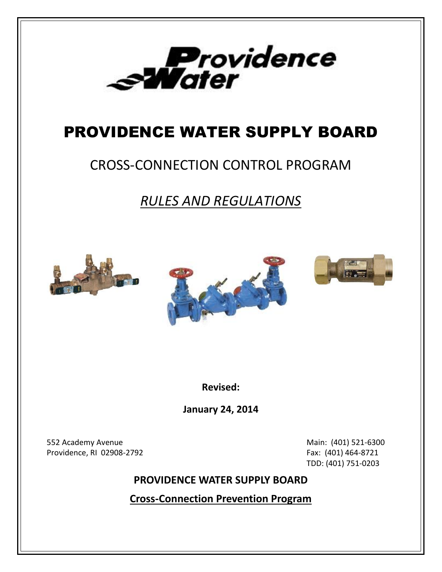

# PROVIDENCE WATER SUPPLY BOARD

## CROSS-CONNECTION CONTROL PROGRAM

*RULES AND REGULATIONS*







**Revised:**

**January 24, 2014**

552 Academy Avenue **Main:** (401) 521-6300 Providence, RI 02908-2792 Fax: (401) 464-8721

TDD: (401) 751-0203

### **PROVIDENCE WATER SUPPLY BOARD**

**Cross-Connection Prevention Program**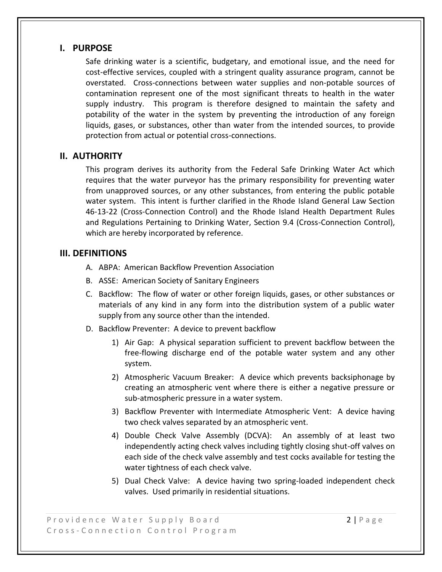#### **I. PURPOSE**

Safe drinking water is a scientific, budgetary, and emotional issue, and the need for cost-effective services, coupled with a stringent quality assurance program, cannot be overstated. Cross-connections between water supplies and non-potable sources of contamination represent one of the most significant threats to health in the water supply industry. This program is therefore designed to maintain the safety and potability of the water in the system by preventing the introduction of any foreign liquids, gases, or substances, other than water from the intended sources, to provide protection from actual or potential cross-connections.

#### **II. AUTHORITY**

This program derives its authority from the Federal Safe Drinking Water Act which requires that the water purveyor has the primary responsibility for preventing water from unapproved sources, or any other substances, from entering the public potable water system. This intent is further clarified in the Rhode Island General Law Section 46-13-22 (Cross-Connection Control) and the Rhode Island Health Department Rules and Regulations Pertaining to Drinking Water, Section 9.4 (Cross-Connection Control), which are hereby incorporated by reference.

#### **III. DEFINITIONS**

- A. ABPA: American Backflow Prevention Association
- B. ASSE: American Society of Sanitary Engineers
- C. Backflow: The flow of water or other foreign liquids, gases, or other substances or materials of any kind in any form into the distribution system of a public water supply from any source other than the intended.
- D. Backflow Preventer: A device to prevent backflow
	- 1) Air Gap: A physical separation sufficient to prevent backflow between the free-flowing discharge end of the potable water system and any other system.
	- 2) Atmospheric Vacuum Breaker: A device which prevents backsiphonage by creating an atmospheric vent where there is either a negative pressure or sub-atmospheric pressure in a water system.
	- 3) Backflow Preventer with Intermediate Atmospheric Vent: A device having two check valves separated by an atmospheric vent.
	- 4) Double Check Valve Assembly (DCVA): An assembly of at least two independently acting check valves including tightly closing shut-off valves on each side of the check valve assembly and test cocks available for testing the water tightness of each check valve.
	- 5) Dual Check Valve: A device having two spring-loaded independent check valves. Used primarily in residential situations.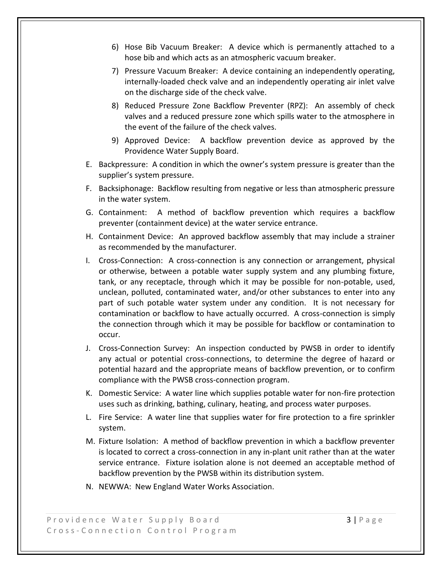- 6) Hose Bib Vacuum Breaker: A device which is permanently attached to a hose bib and which acts as an atmospheric vacuum breaker.
- 7) Pressure Vacuum Breaker: A device containing an independently operating, internally-loaded check valve and an independently operating air inlet valve on the discharge side of the check valve.
- 8) Reduced Pressure Zone Backflow Preventer (RPZ): An assembly of check valves and a reduced pressure zone which spills water to the atmosphere in the event of the failure of the check valves.
- 9) Approved Device: A backflow prevention device as approved by the Providence Water Supply Board.
- E. Backpressure: A condition in which the owner's system pressure is greater than the supplier's system pressure.
- F. Backsiphonage: Backflow resulting from negative or less than atmospheric pressure in the water system.
- G. Containment: A method of backflow prevention which requires a backflow preventer (containment device) at the water service entrance.
- H. Containment Device: An approved backflow assembly that may include a strainer as recommended by the manufacturer.
- I. Cross-Connection: A cross-connection is any connection or arrangement, physical or otherwise, between a potable water supply system and any plumbing fixture, tank, or any receptacle, through which it may be possible for non-potable, used, unclean, polluted, contaminated water, and/or other substances to enter into any part of such potable water system under any condition. It is not necessary for contamination or backflow to have actually occurred. A cross-connection is simply the connection through which it may be possible for backflow or contamination to occur.
- J. Cross-Connection Survey: An inspection conducted by PWSB in order to identify any actual or potential cross-connections, to determine the degree of hazard or potential hazard and the appropriate means of backflow prevention, or to confirm compliance with the PWSB cross-connection program.
- K. Domestic Service: A water line which supplies potable water for non-fire protection uses such as drinking, bathing, culinary, heating, and process water purposes.
- L. Fire Service: A water line that supplies water for fire protection to a fire sprinkler system.
- M. Fixture Isolation: A method of backflow prevention in which a backflow preventer is located to correct a cross-connection in any in-plant unit rather than at the water service entrance. Fixture isolation alone is not deemed an acceptable method of backflow prevention by the PWSB within its distribution system.
- N. NEWWA: New England Water Works Association.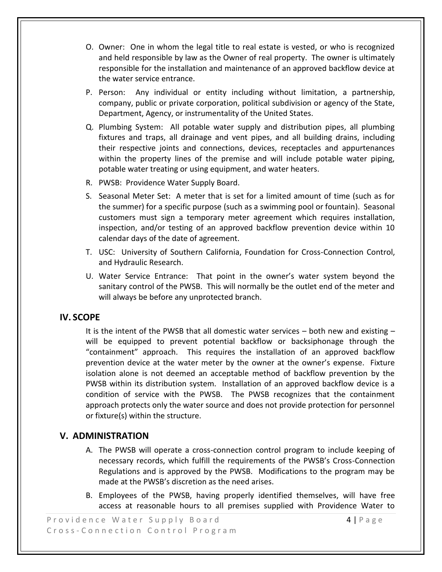- O. Owner: One in whom the legal title to real estate is vested, or who is recognized and held responsible by law as the Owner of real property. The owner is ultimately responsible for the installation and maintenance of an approved backflow device at the water service entrance.
- P. Person: Any individual or entity including without limitation, a partnership, company, public or private corporation, political subdivision or agency of the State, Department, Agency, or instrumentality of the United States.
- Q. Plumbing System: All potable water supply and distribution pipes, all plumbing fixtures and traps, all drainage and vent pipes, and all building drains, including their respective joints and connections, devices, receptacles and appurtenances within the property lines of the premise and will include potable water piping, potable water treating or using equipment, and water heaters.
- R. PWSB: Providence Water Supply Board.
- S. Seasonal Meter Set: A meter that is set for a limited amount of time (such as for the summer) for a specific purpose (such as a swimming pool or fountain). Seasonal customers must sign a temporary meter agreement which requires installation, inspection, and/or testing of an approved backflow prevention device within 10 calendar days of the date of agreement.
- T. USC: University of Southern California, Foundation for Cross-Connection Control, and Hydraulic Research.
- U. Water Service Entrance: That point in the owner's water system beyond the sanitary control of the PWSB. This will normally be the outlet end of the meter and will always be before any unprotected branch.

#### **IV. SCOPE**

It is the intent of the PWSB that all domestic water services  $-$  both new and existing  $$ will be equipped to prevent potential backflow or backsiphonage through the "containment" approach. This requires the installation of an approved backflow prevention device at the water meter by the owner at the owner's expense. Fixture isolation alone is not deemed an acceptable method of backflow prevention by the PWSB within its distribution system. Installation of an approved backflow device is a condition of service with the PWSB. The PWSB recognizes that the containment approach protects only the water source and does not provide protection for personnel or fixture(s) within the structure.

#### **V. ADMINISTRATION**

- A. The PWSB will operate a cross-connection control program to include keeping of necessary records, which fulfill the requirements of the PWSB's Cross-Connection Regulations and is approved by the PWSB. Modifications to the program may be made at the PWSB's discretion as the need arises.
- B. Employees of the PWSB, having properly identified themselves, will have free access at reasonable hours to all premises supplied with Providence Water to

P r o v i d e n c e W a t e r S u p p l y B o a r d a set e r a set e r a f e r a g e r a f e a g e Cross-Connection Control Program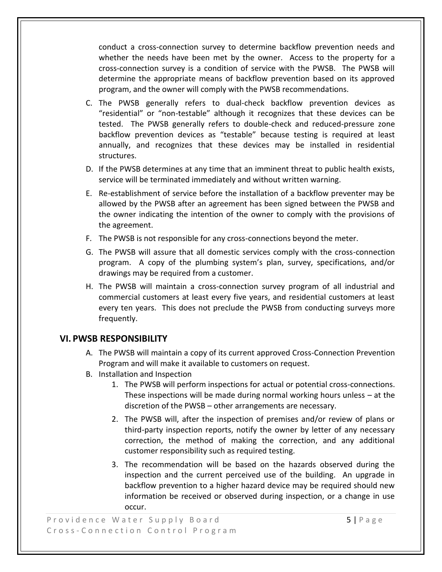conduct a cross-connection survey to determine backflow prevention needs and whether the needs have been met by the owner. Access to the property for a cross-connection survey is a condition of service with the PWSB. The PWSB will determine the appropriate means of backflow prevention based on its approved program, and the owner will comply with the PWSB recommendations.

- C. The PWSB generally refers to dual-check backflow prevention devices as "residential" or "non-testable" although it recognizes that these devices can be tested. The PWSB generally refers to double-check and reduced-pressure zone backflow prevention devices as "testable" because testing is required at least annually, and recognizes that these devices may be installed in residential structures.
- D. If the PWSB determines at any time that an imminent threat to public health exists, service will be terminated immediately and without written warning.
- E. Re-establishment of service before the installation of a backflow preventer may be allowed by the PWSB after an agreement has been signed between the PWSB and the owner indicating the intention of the owner to comply with the provisions of the agreement.
- F. The PWSB is not responsible for any cross-connections beyond the meter.
- G. The PWSB will assure that all domestic services comply with the cross-connection program. A copy of the plumbing system's plan, survey, specifications, and/or drawings may be required from a customer.
- H. The PWSB will maintain a cross-connection survey program of all industrial and commercial customers at least every five years, and residential customers at least every ten years. This does not preclude the PWSB from conducting surveys more frequently.

#### **VI. PWSB RESPONSIBILITY**

- A. The PWSB will maintain a copy of its current approved Cross-Connection Prevention Program and will make it available to customers on request.
- B. Installation and Inspection
	- 1. The PWSB will perform inspections for actual or potential cross-connections. These inspections will be made during normal working hours unless – at the discretion of the PWSB – other arrangements are necessary.
	- 2. The PWSB will, after the inspection of premises and/or review of plans or third-party inspection reports, notify the owner by letter of any necessary correction, the method of making the correction, and any additional customer responsibility such as required testing.
	- 3. The recommendation will be based on the hazards observed during the inspection and the current perceived use of the building. An upgrade in backflow prevention to a higher hazard device may be required should new information be received or observed during inspection, or a change in use occur.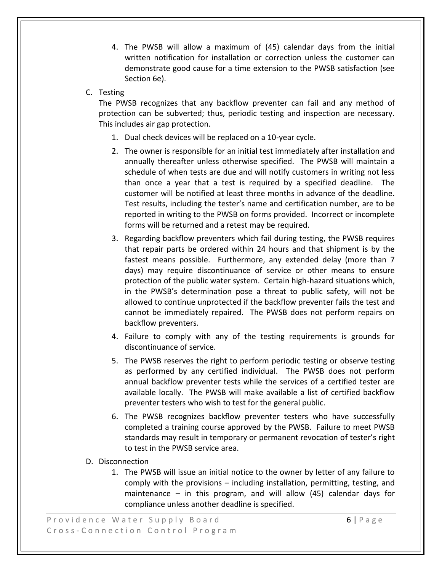- 4. The PWSB will allow a maximum of (45) calendar days from the initial written notification for installation or correction unless the customer can demonstrate good cause for a time extension to the PWSB satisfaction (see Section 6e).
- C. Testing

The PWSB recognizes that any backflow preventer can fail and any method of protection can be subverted; thus, periodic testing and inspection are necessary. This includes air gap protection.

- 1. Dual check devices will be replaced on a 10-year cycle.
- 2. The owner is responsible for an initial test immediately after installation and annually thereafter unless otherwise specified. The PWSB will maintain a schedule of when tests are due and will notify customers in writing not less than once a year that a test is required by a specified deadline. The customer will be notified at least three months in advance of the deadline. Test results, including the tester's name and certification number, are to be reported in writing to the PWSB on forms provided. Incorrect or incomplete forms will be returned and a retest may be required.
- 3. Regarding backflow preventers which fail during testing, the PWSB requires that repair parts be ordered within 24 hours and that shipment is by the fastest means possible. Furthermore, any extended delay (more than 7 days) may require discontinuance of service or other means to ensure protection of the public water system. Certain high-hazard situations which, in the PWSB's determination pose a threat to public safety, will not be allowed to continue unprotected if the backflow preventer fails the test and cannot be immediately repaired. The PWSB does not perform repairs on backflow preventers.
- 4. Failure to comply with any of the testing requirements is grounds for discontinuance of service.
- 5. The PWSB reserves the right to perform periodic testing or observe testing as performed by any certified individual. The PWSB does not perform annual backflow preventer tests while the services of a certified tester are available locally. The PWSB will make available a list of certified backflow preventer testers who wish to test for the general public.
- 6. The PWSB recognizes backflow preventer testers who have successfully completed a training course approved by the PWSB. Failure to meet PWSB standards may result in temporary or permanent revocation of tester's right to test in the PWSB service area.
- D. Disconnection
	- 1. The PWSB will issue an initial notice to the owner by letter of any failure to comply with the provisions – including installation, permitting, testing, and maintenance – in this program, and will allow  $(45)$  calendar days for compliance unless another deadline is specified.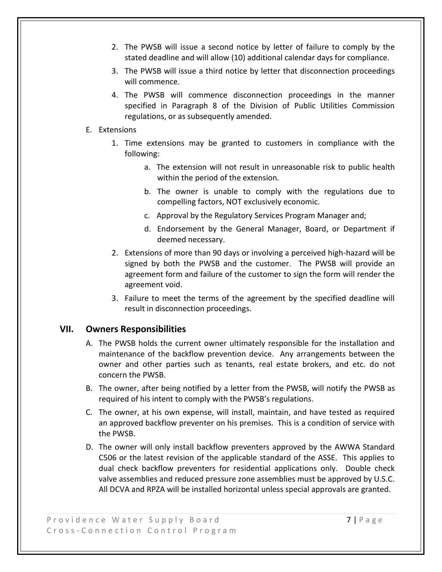- 2. The PWSB will issue a second notice by letter of failure to comply by the stated deadline and will allow (10) additional calendar days for compliance.
- 3. The PWSB will issue a third notice by letter that disconnection proceedings will commence.
- 4. The PWSB will commence disconnection proceedings in the manner specified in Paragraph 8 of the Division of Public Utilities Commission regulations, or as subsequently amended.

#### E. Extensions

- 1. Time extensions may be granted to customers in compliance with the following:
	- a. The extension will not result in unreasonable risk to public health within the period of the extension.
	- b. The owner is unable to comply with the regulations due to compelling factors, NOT exclusively economic.
	- c. Approval by the Regulatory Services Program Manager and;
	- d. Endorsement by the General Manager, Board, or Department if deemed necessary.
- 2. Extensions of more than 90 days or involving a perceived high-hazard will be signed by both the PWSB and the customer. The PWSB will provide an agreement form and failure of the customer to sign the form will render the agreement void.
- 3. Failure to meet the terms of the agreement by the specified deadline will result in disconnection proceedings.

#### **VII. Owners Responsibilities**

- A. The PWSB holds the current owner ultimately responsible for the installation and maintenance of the backflow prevention device. Any arrangements between the owner and other parties such as tenants, real estate brokers, and etc. do not concern the PWSB.
- B. The owner, after being notified by a letter from the PWSB, will notify the PWSB as required of his intent to comply with the PWSB's regulations.
- C. The owner, at his own expense, will install, maintain, and have tested as required an approved backflow preventer on his premises. This is a condition of service with the PWSB.
- D. The owner will only install backflow preventers approved by the AWWA Standard C506 or the latest revision of the applicable standard of the ASSE. This applies to dual check backflow preventers for residential applications only. Double check valve assemblies and reduced pressure zone assemblies must be approved by U.S.C. All DCVA and RPZA will be installed horizontal unless special approvals are granted.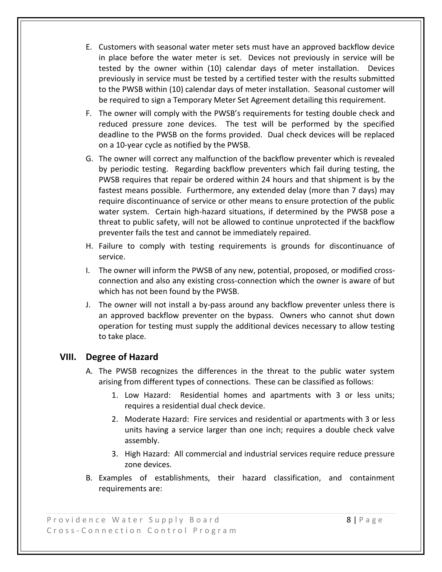- E. Customers with seasonal water meter sets must have an approved backflow device in place before the water meter is set. Devices not previously in service will be tested by the owner within (10) calendar days of meter installation. Devices previously in service must be tested by a certified tester with the results submitted to the PWSB within (10) calendar days of meter installation. Seasonal customer will be required to sign a Temporary Meter Set Agreement detailing this requirement.
- F. The owner will comply with the PWSB's requirements for testing double check and reduced pressure zone devices. The test will be performed by the specified deadline to the PWSB on the forms provided. Dual check devices will be replaced on a 10-year cycle as notified by the PWSB.
- G. The owner will correct any malfunction of the backflow preventer which is revealed by periodic testing. Regarding backflow preventers which fail during testing, the PWSB requires that repair be ordered within 24 hours and that shipment is by the fastest means possible. Furthermore, any extended delay (more than 7 days) may require discontinuance of service or other means to ensure protection of the public water system. Certain high-hazard situations, if determined by the PWSB pose a threat to public safety, will not be allowed to continue unprotected if the backflow preventer fails the test and cannot be immediately repaired.
- H. Failure to comply with testing requirements is grounds for discontinuance of service.
- I. The owner will inform the PWSB of any new, potential, proposed, or modified crossconnection and also any existing cross-connection which the owner is aware of but which has not been found by the PWSB.
- J. The owner will not install a by-pass around any backflow preventer unless there is an approved backflow preventer on the bypass. Owners who cannot shut down operation for testing must supply the additional devices necessary to allow testing to take place.

#### **VIII. Degree of Hazard**

- A. The PWSB recognizes the differences in the threat to the public water system arising from different types of connections. These can be classified as follows:
	- 1. Low Hazard: Residential homes and apartments with 3 or less units; requires a residential dual check device.
	- 2. Moderate Hazard: Fire services and residential or apartments with 3 or less units having a service larger than one inch; requires a double check valve assembly.
	- 3. High Hazard: All commercial and industrial services require reduce pressure zone devices.
- B. Examples of establishments, their hazard classification, and containment requirements are: